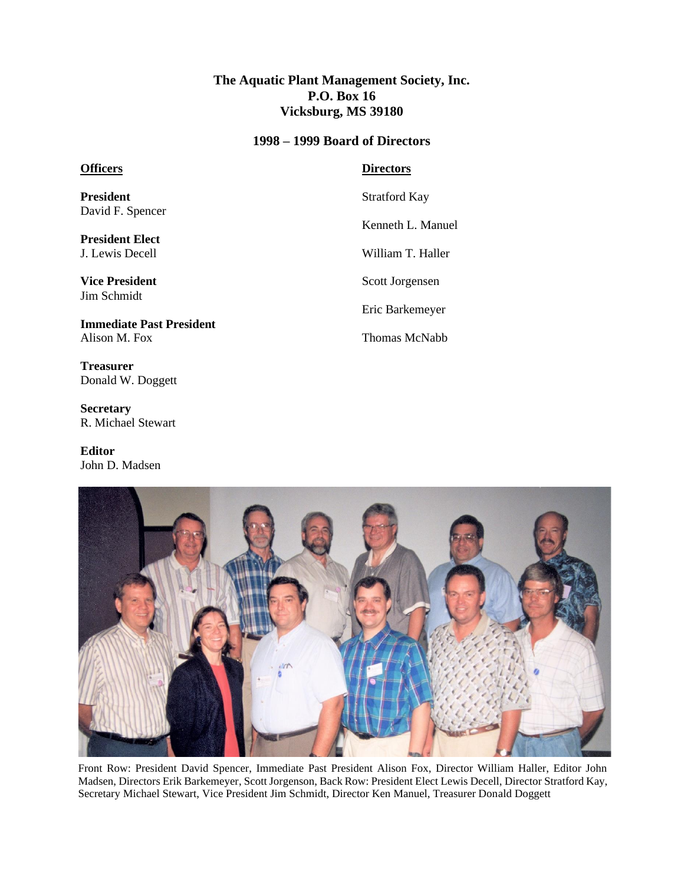## **The Aquatic Plant Management Society, Inc. P.O. Box 16 Vicksburg, MS 39180**

#### **1998 – 1999 Board of Directors**

### **Officers**

**President** David F. Spencer

**President Elect** J. Lewis Decell

**Vice President** Jim Schmidt

**Immediate Past President** Alison M. Fox

**Treasurer** Donald W. Doggett

**Secretary** R. Michael Stewart

**Editor** John D. Madsen

### **Directors**

Stratford Kay

Kenneth L. Manuel

William T. Haller

Scott Jorgensen

Eric Barkemeyer

Thomas McNabb



Front Row: President David Spencer, Immediate Past President Alison Fox, Director William Haller, Editor John Madsen, Directors Erik Barkemeyer, Scott Jorgenson, Back Row: President Elect Lewis Decell, Director Stratford Kay, Secretary Michael Stewart, Vice President Jim Schmidt, Director Ken Manuel, Treasurer Donald Doggett